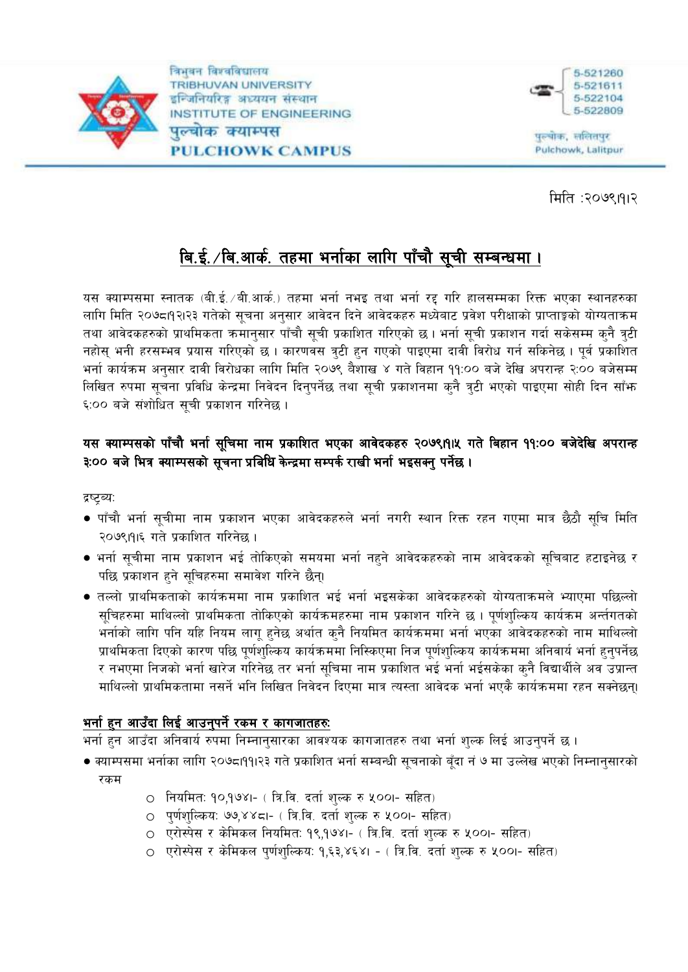

विभवन विश्वविद्यालय **TRIBHUVAN UNIVERSITY** इन्जिनियरिङ्ग अध्ययन संस्थान INSTITUTE OF ENGINEERING पल्चोक क्याम्पस **PULCHOWK CAMPUS** 



पुरुषोक, सलितपुर Pulchowk, Lalitpur

मिति :२०७९।११२

# बि.ई. /बि.आर्क. तहमा भर्नाका लागि पाँचौ सूची सम्बन्धमा ।

यस क्याम्पसमा स्नातक (बी.ई. /बी.आर्क.) तहमा भर्ना नभइ तथा भर्ना रद्द गरि हालसम्मका रिक्त भएका स्थानहरुका लागि मिति २०७८।१२।२३ गतेको सूचना अनुसार आवेदन दिने आवेदकहरु मध्येबाट प्रवेश परीक्षाको प्राप्ताङ्को योग्यताक्रम तथा आवेदकहरुको प्राथमिकता क्रमानुसार पाँचौ सूची प्रकाशित गरिएको छ। भर्ना सूची प्रकाशन गर्दा सकेसम्म कुनै त्रुटी नहोस् भनी हरसम्भव प्रयास गरिएको छ। कारणवस त्रुटी हुन गएको पाइएमा दावी विरोध गर्न सकिनेछ। पूर्व प्रकाशित भर्ना कार्यक्रम अनुसार दावी विरोधका लागि मिति २०७९ वैशाख ४ गते विहान ११:०० बजे देखि अपरान्ह २:०० बजेसम्म लिखित रुपमा सूचना प्रविधि केन्द्रमा निवेदन दिनुपर्नेछ तथा सूची प्रकाशनमा कुनै त्रुटी भएको पाइएमा सोही दिन साँफ ६:०० बजे संशोधित सची प्रकाशन गरिनेछ ।

## यस क्याम्पसको पाँचौ भर्ना सूचिमा नाम प्रकाशित भएका आवेदकहरु २०७९।१।५ गते बिहान ११:०० बजेदेखि अपरान्ह ३:०० बजे भित्र क्याम्पसको सूचना प्रबिधि केन्द्रमा सम्पर्क राखी भर्ना भइसक्नु पर्नेछ ।

द्रष्टृब्य:

- पाँचौ भर्ना सूचीमा नाम प्रकाशन भएका आवेदकहरुले भर्ना नगरी स्थान रिक्त रहन गएमा मात्र छैठौ सूचि मिति २०७९।१।६ गते प्रकाशित गरिनेछ ।
- भर्ना सूचीमा नाम प्रकाशन भई तोकिएको समयमा भर्ना नहने आवेदकहरुको नाम आवेदकको सूचिबाट हटाइनेछ र पछि प्रकाशन हुने सुचिहरुमा समावेश गरिने छैन्।
- तल्लो प्राथमिकताको कार्यक्रममा नाम प्रकाशित भई भर्ना भइसकेका आवेदकहरुको योग्यताक्रमले भ्याएमा पछिल्लो सुचिहरुमा माथिल्लो प्राथमिकता तोकिएको कार्यक्रमहरुमा नाम प्रकाशन गरिने छ । पुर्णशुल्किय कार्यक्रम अर्न्तगतको भर्नाको लागि पनि यहि नियम लागू हुनेछ अर्थात कुनै नियमित कार्यक्रममा भर्ना भएका आवेदकहरुको नाम माथिल्लो प्राथमिकता दिएको कारण पछि पूर्णशुल्किय कार्यक्रममा निस्किएमा निज पूर्णशुल्किय कार्यक्रममा अनिवार्य भर्ना हुनुपर्नेछ र नभएमा निजको भर्ना खारेज गरिनेछ तर भर्ना सुचिमा नाम प्रकाशित भई भर्ना भईसकेका क्नै विद्यार्थीले अव उप्रान्त माथिल्लो प्राथमिकतामा नसर्ने भनि लिखित निवेदन दिएमा मात्र त्यस्ता आवेदक भर्ना भएकै कार्यक्रममा रहन सक्नेछन्।

### <u>भर्ना हुन आउँदा लिई आउनुपर्ने रकम र कागजातहरुः</u>

भर्ना हुन आउँदा अनिवार्य रुपमा निम्नानुसारका आवश्यक कागजातहरु तथा भर्ना शुल्क लिई आउनुपर्ने छ ।

- क्याम्पसमा भर्नाका लागि २०७८।११।२३ गते प्रकाशित भर्ना सम्बन्धी सूचनाको बूँदा नं ७ मा उल्लेख भएको निम्नानुसारको रकम
	- नियमितः १०,१७४।- ( त्रि.वि. दर्ता शुल्क रु ५००।- सहित)
	- 0 पूर्णशुल्किय: ७७,४४८।- ( त्रि.वि. दर्ता शुल्क रु ५००।- सहित)
	- 0) एरोस्पेस र केमिकल नियमित: १९,१७४।- ( त्रि.वि. दर्ता शुल्क रु ५००।- सहित)
	- 0 एरोस्पेस र केमिकल पूर्णशुल्किय: १,६३,४६४। ( त्रि.वि. दर्ता शुल्क रु ५००।- सहित)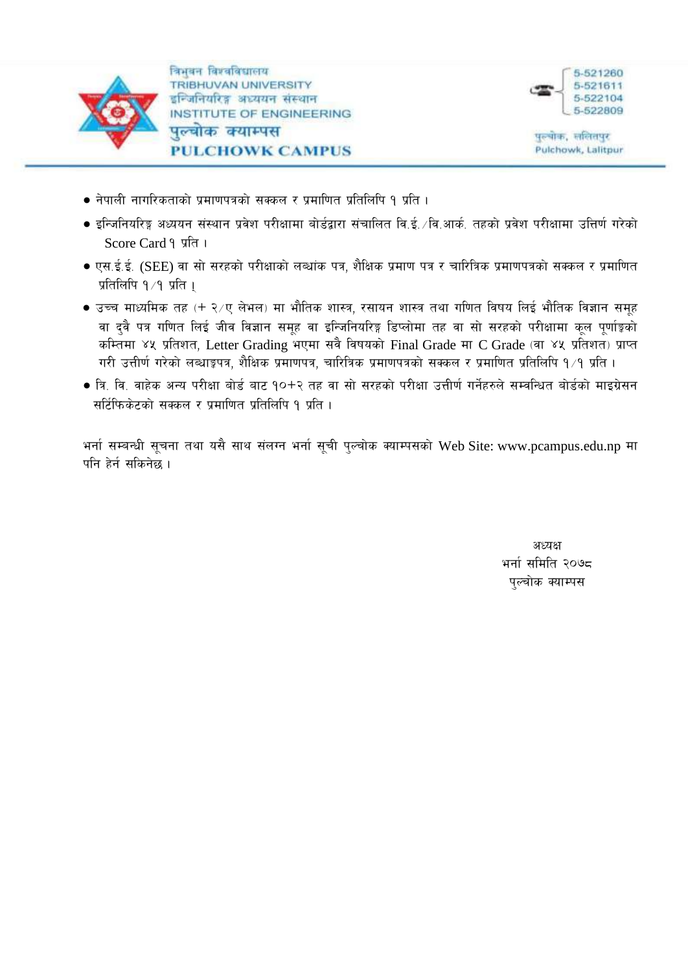

विभवन विश्वविद्यालय **TRIBHUVAN UNIVERSITY** इन्जिनियरिङ्ग अध्ययन संस्थान **INSTITUTE OF ENGINEERING** पल्चोक क्याम्पस **PULCHOWK CAMPUS** 



पल्चोक, सलितपुर Pulchowk, Lalitpur

- नेपाली नागरिकताको प्रमाणपत्रको सक्कल र प्रमाणित प्रतिलिपि १ प्रति ।
- इन्जिनियरिङ्ग अध्ययन संस्थान प्रवेश परीक्षामा बोर्डद्वारा संचालित वि.ई. ∕वि.आर्क. तहको प्रवेश परीक्षामा उत्तिर्ण गरेको Score Card १ प्रति ।
- एस.ई.ई. (SEE) वा सो सरहको परीक्षाको लब्धांक पत्र, शैक्षिक प्रमाण पत्र र चारित्रिक प्रमाणपत्रको सक्कल र प्रमाणित प्रतिलिपि १∕१ प्रति ।
- उच्च माध्यमिक तह (+ २⁄ए लेभल) मा भौतिक शास्त्र, रसायन शास्त्र तथा गणित विषय लिई भौतिक विज्ञान समूह वा दवै पत्र गणित लिई जीव विज्ञान समूह वा इन्जिनियरिङ्ग डिप्लोमा तह वा सो सरहको परीक्षामा कुल पर्णाङ्गको कम्तिमा ४५ प्रतिशत, Letter Grading भएमा सवै विषयको Final Grade मा C Grade (वा ४५ प्रतिशत) प्राप्त गरी उत्तीर्ण गरेको लब्धाङ्कपत्र, शैक्षिक प्रमाणपत्र, चारित्रिक प्रमाणपत्रको सक्कल र प्रमाणित प्रतिलिपि १/१ प्रति ।
- त्रि. वि. वाहेक अन्य परीक्षा बोर्ड बाट १०+२ तह वा सो सरहको परीक्षा उत्तीर्ण गर्नेहरुले सम्वन्धित बोर्डको माडग्रेसन सर्टिफिकेटको सक्कल र प्रमाणित प्रतिलिपि १ प्रति ।

भर्ना सम्बन्धी सूचना तथा यसै साथ संलग्न भर्ना सूची पुल्चोक क्याम्पसको Web Site: www.pcampus.edu.np मा पनि हेर्न सकिनेछ ।

> अध्यक्ष भर्ना समिति २०७८ पल्चोक क्याम्पस